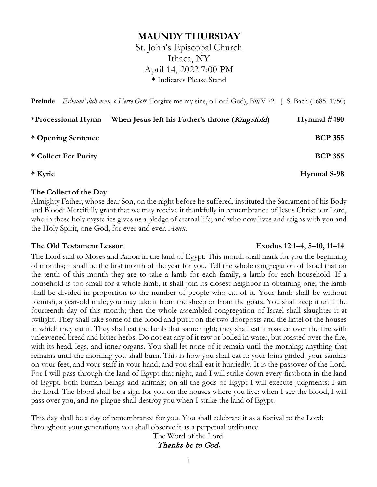# **MAUNDY THURSDAY**

St. John's Episcopal Church Ithaca, NY April 14, 2022 7:00 PM **\*** Indicates Please Stand

**Prelude** *Erbaum' dich mein, o Herre Gott (*Forgive me my sins, o Lord God), BWV 72 J. S. Bach (1685–1750)

| <b>*Processional Hymn</b> | When Jesus left his Father's throne (Kingsfold) | Hymnal #480    |
|---------------------------|-------------------------------------------------|----------------|
| * Opening Sentence        |                                                 | <b>BCP 355</b> |
| * Collect For Purity      |                                                 | <b>BCP 355</b> |
| * Kyrie                   |                                                 | Hymnal S-98    |

### **The Collect of the Day**

Almighty Father, whose dear Son, on the night before he suffered, instituted the Sacrament of his Body and Blood: Mercifully grant that we may receive it thankfully in remembrance of Jesus Christ our Lord, who in these holy mysteries gives us a pledge of eternal life; and who now lives and reigns with you and the Holy Spirit, one God, for ever and ever. *Amen.*

### **The Old Testament Lesson Exodus 12:1–4, 5–10, 11–14**

The Lord said to Moses and Aaron in the land of Egypt: This month shall mark for you the beginning of months; it shall be the first month of the year for you. Tell the whole congregation of Israel that on the tenth of this month they are to take a lamb for each family, a lamb for each household. If a household is too small for a whole lamb, it shall join its closest neighbor in obtaining one; the lamb shall be divided in proportion to the number of people who eat of it. Your lamb shall be without blemish, a year-old male; you may take it from the sheep or from the goats. You shall keep it until the fourteenth day of this month; then the whole assembled congregation of Israel shall slaughter it at twilight. They shall take some of the blood and put it on the two doorposts and the lintel of the houses in which they eat it. They shall eat the lamb that same night; they shall eat it roasted over the fire with unleavened bread and bitter herbs. Do not eat any of it raw or boiled in water, but roasted over the fire, with its head, legs, and inner organs. You shall let none of it remain until the morning; anything that remains until the morning you shall burn. This is how you shall eat it: your loins girded, your sandals on your feet, and your staff in your hand; and you shall eat it hurriedly. It is the passover of the Lord. For I will pass through the land of Egypt that night, and I will strike down every firstborn in the land of Egypt, both human beings and animals; on all the gods of Egypt I will execute judgments: I am the Lord. The blood shall be a sign for you on the houses where you live: when I see the blood, I will pass over you, and no plague shall destroy you when I strike the land of Egypt.

This day shall be a day of remembrance for you. You shall celebrate it as a festival to the Lord; throughout your generations you shall observe it as a perpetual ordinance.

> The Word of the Lord. Thanks be to God**.**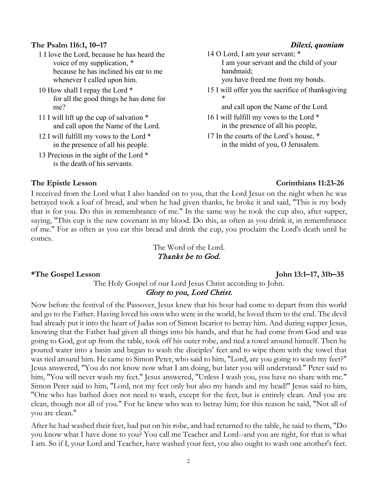### **The Psalm 116:1, 10–17** *Dilexi, quoniam*

- 1 I love the Lord, because he has heard the voice of my supplication, \* because he has inclined his ear to me whenever I called upon him.
- 10 How shall I repay the Lord \* for all the good things he has done for me?
- 11 I will lift up the cup of salvation \* and call upon the Name of the Lord.
- 12 I will fulfill my vows to the Lord \* in the presence of all his people.
- 13 Precious in the sight of the Lord \* is the death of his servants.

14 O Lord, I am your servant; \* I am your servant and the child of your handmaid;

you have freed me from my bonds.

15 I will offer you the sacrifice of thanksgiving \*

and call upon the Name of the Lord.

16 I will fulfill my vows to the Lord \* in the presence of all his people,

17 In the courts of the Lord's house, \* in the midst of you, O Jerusalem.

### **The Epistle Lesson Corinthians 11:23-26**

I received from the Lord what I also handed on to you, that the Lord Jesus on the night when he was betrayed took a loaf of bread, and when he had given thanks, he broke it and said, "This is my body that is for you. Do this in remembrance of me." In the same way he took the cup also, after supper, saying, "This cup is the new covenant in my blood. Do this, as often as you drink it, in remembrance of me." For as often as you eat this bread and drink the cup, you proclaim the Lord's death until he comes.

> The Word of the Lord. Thanks be to God.

**\*The Gospel Lesson John 13:1–17, 31b–35**

The Holy Gospel of our Lord Jesus Christ according to John. Glory to you, Lord Christ.

Now before the festival of the Passover, Jesus knew that his hour had come to depart from this world and go to the Father. Having loved his own who were in the world, he loved them to the end. The devil had already put it into the heart of Judas son of Simon Iscariot to betray him. And during supper Jesus, knowing that the Father had given all things into his hands, and that he had come from God and was going to God, got up from the table, took off his outer robe, and tied a towel around himself. Then he poured water into a basin and began to wash the disciples' feet and to wipe them with the towel that was tied around him. He came to Simon Peter, who said to him, "Lord, are you going to wash my feet?" Jesus answered, "You do not know now what I am doing, but later you will understand." Peter said to him, "You will never wash my feet." Jesus answered, "Unless I wash you, you have no share with me." Simon Peter said to him, "Lord, not my feet only but also my hands and my head!" Jesus said to him, "One who has bathed does not need to wash, except for the feet, but is entirely clean. And you are clean, though not all of you." For he knew who was to betray him; for this reason he said, "Not all of you are clean."

After he had washed their feet, had put on his robe, and had returned to the table, he said to them, "Do you know what I have done to you? You call me Teacher and Lord--and you are right, for that is what I am. So if I, your Lord and Teacher, have washed your feet, you also ought to wash one another's feet.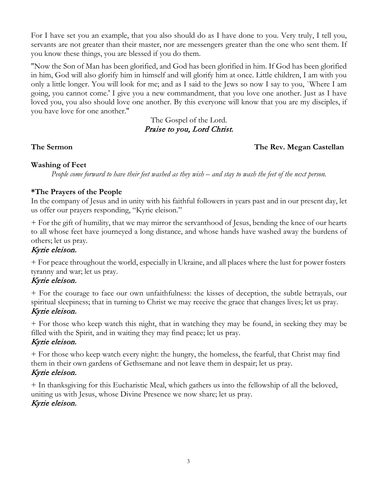For I have set you an example, that you also should do as I have done to you. Very truly, I tell you, servants are not greater than their master, nor are messengers greater than the one who sent them. If you know these things, you are blessed if you do them.

"Now the Son of Man has been glorified, and God has been glorified in him. If God has been glorified in him, God will also glorify him in himself and will glorify him at once. Little children, I am with you only a little longer. You will look for me; and as I said to the Jews so now I say to you, `Where I am going, you cannot come.' I give you a new commandment, that you love one another. Just as I have loved you, you also should love one another. By this everyone will know that you are my disciples, if you have love for one another."

## The Gospel of the Lord. Praise to you, Lord Christ.

# **The Sermon The Rev. Megan Castellan**

# **Washing of Feet**

*People come forward to have their feet washed as they wish – and stay to wash the feet of the next person.*

# **\*The Prayers of the People**

In the company of Jesus and in unity with his faithful followers in years past and in our present day, let us offer our prayers responding, "Kyrie eleison."

+ For the gift of humility, that we may mirror the servanthood of Jesus, bending the knee of our hearts to all whose feet have journeyed a long distance, and whose hands have washed away the burdens of others; let us pray.

# Kyrie eleison.

+ For peace throughout the world, especially in Ukraine, and all places where the lust for power fosters tyranny and war; let us pray.

# Kyrie eleison.

+ For the courage to face our own unfaithfulness: the kisses of deception, the subtle betrayals, our spiritual sleepiness; that in turning to Christ we may receive the grace that changes lives; let us pray. Kyrie eleison.

+ For those who keep watch this night, that in watching they may be found, in seeking they may be filled with the Spirit, and in waiting they may find peace; let us pray.

# Kyrie eleison.

+ For those who keep watch every night: the hungry, the homeless, the fearful, that Christ may find them in their own gardens of Gethsemane and not leave them in despair; let us pray. Kyrie eleison.

+ In thanksgiving for this Eucharistic Meal, which gathers us into the fellowship of all the beloved, uniting us with Jesus, whose Divine Presence we now share; let us pray. Kyrie eleison.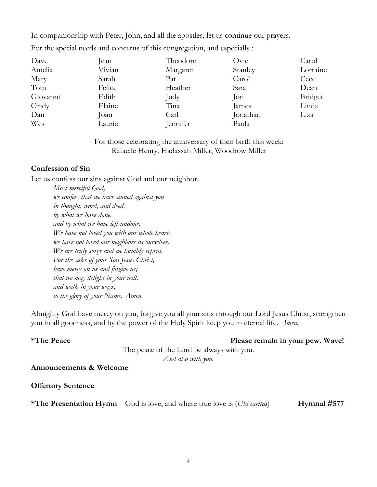In companionship with Peter, John, and all the apostles, let us continue our prayers.

| Dave     | ean        | Theodore | Ovie        | Carol          |
|----------|------------|----------|-------------|----------------|
| Amelia   | Vivian     | Margaret | Stanley     | Lorraine       |
| Mary     | Sarah      | Pat      | Carol       | Cece           |
| Tom      | Felice     | Heather  | Sara        | Dean           |
| Giovanni | Edith      | Judy     | $\lceil$ on | <b>Bridget</b> |
| Cindy    | Elaine     | Tina     | James       | Linda          |
| Dan      | $\alpha$ n | Carl     | Jonathan    | Liza           |
| Wes      | Laurie     | Jennifer | Paula       |                |

For the special needs and concerns of this congregation, and especially :

For those celebrating the anniversary of their birth this week: Rafaelle Henry, Hadassah Miller, Woodrow Miller

## **Confession of Sin**

Let us confess our sins against God and our neighbor.

*Most merciful God, we confess that we have sinned against you in thought, word, and deed, by what we have done, and by what we have left undone. We have not loved you with our whole heart; we have not loved our neighbors as ourselves. We are truly sorry and we humbly repent. For the sake of your Son Jesus Christ, have mercy on us and forgive us; that we may delight in your will, and walk in your ways, to the glory of your Name. Amen.*

Almighty God have mercy on you, forgive you all your sins through our Lord Jesus Christ, strengthen you in all goodness, and by the power of the Holy Spirit keep you in eternal life. *Amen.*

| *The Peace                         |                                                                                 | Please remain in your pew. Wave! |
|------------------------------------|---------------------------------------------------------------------------------|----------------------------------|
|                                    | The peace of the Lord be always with you.                                       |                                  |
|                                    | And also with you.                                                              |                                  |
| <b>Announcements &amp; Welcome</b> |                                                                                 |                                  |
| <b>Offertory Sentence</b>          |                                                                                 |                                  |
|                                    | <b>*The Presentation Hymn</b> God is love, and where true love is (Ubi caritas) | Hymnal #577                      |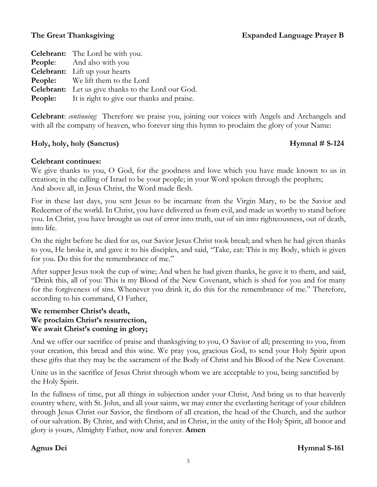| <b>Celebrant:</b> The Lord be with you.                   |
|-----------------------------------------------------------|
| <b>People:</b> And also with you                          |
| <b>Celebrant:</b> Lift up your hearts                     |
| <b>People:</b> We lift them to the Lord                   |
| <b>Celebrant:</b> Let us give thanks to the Lord our God. |
| <b>People:</b> It is right to give our thanks and praise. |

**Celebrant**: *continuing:* Therefore we praise you, joining our voices with Angels and Archangels and with all the company of heaven, who forever sing this hymn to proclaim the glory of your Name:

## **Holy, holy, holy (Sanctus) Hymnal # S-124**

## **Celebrant continues:**

We give thanks to you, O God, for the goodness and love which you have made known to us in creation; in the calling of Israel to be your people; in your Word spoken through the prophets; And above all, in Jesus Christ, the Word made flesh.

For in these last days, you sent Jesus to be incarnate from the Virgin Mary, to be the Savior and Redeemer of the world. In Christ, you have delivered us from evil, and made us worthy to stand before you. In Christ, you have brought us out of error into truth, out of sin into righteousness, out of death, into life.

On the night before he died for us, our Savior Jesus Christ took bread; and when he had given thanks to you, He broke it, and gave it to his disciples, and said, "Take, eat: This is my Body, which is given for you. Do this for the remembrance of me."

After supper Jesus took the cup of wine; And when he had given thanks, he gave it to them, and said, "Drink this, all of you: This is my Blood of the New Covenant, which is shed for you and for many for the forgiveness of sins. Whenever you drink it, do this for the remembrance of me." Therefore, according to his command, O Father,

## **We remember Christ's death, We proclaim Christ's resurrection, We await Christ's coming in glory;**

And we offer our sacrifice of praise and thanksgiving to you, O Savior of all; presenting to you, from your creation, this bread and this wine. We pray you, gracious God, to send your Holy Spirit upon these gifts that they may be the sacrament of the Body of Christ and his Blood of the New Covenant.

Unite us in the sacrifice of Jesus Christ through whom we are acceptable to you, being sanctified by the Holy Spirit.

In the fullness of time, put all things in subjection under your Christ, And bring us to that heavenly country where, with St. John, and all your saints, we may enter the everlasting heritage of your children through Jesus Christ our Savior, the firstborn of all creation, the head of the Church, and the author of our salvation. By Christ, and with Christ, and in Christ, in the unity of the Holy Spirit, all honor and glory is yours, Almighty Father, now and forever. **Amen**

**Agnus Dei Hymnal S-161**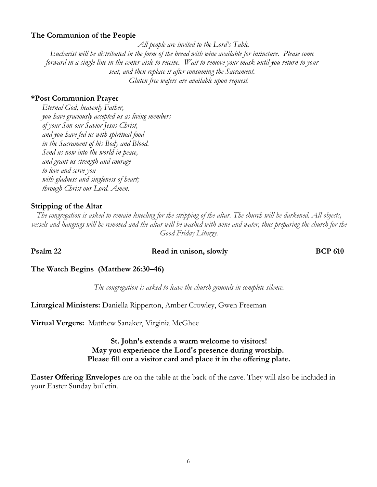### **The Communion of the People**

*All people are invited to the Lord's Table. Eucharist will be distributed in the form of the bread with wine available for intincture. Please come forward in a single line in the center aisle to receive. Wait to remove your mask until you return to your seat, and then replace it after consuming the Sacrament. Gluten free wafers are available upon request.*

### **\*Post Communion Prayer**

*Eternal God, heavenly Father, you have graciously accepted us as living members of your Son our Savior Jesus Christ, and you have fed us with spiritual food in the Sacrament of his Body and Blood. Send us now into the world in peace, and grant us strength and courage to love and serve you with gladness and singleness of heart; through Christ our Lord. Amen*.

### **Stripping of the Altar**

*The congregation is asked to remain kneeling for the stripping of the altar. The church will be darkened. All objects, vessels and hangings will be removed and the altar will be washed with wine and water, thus preparing the church for the Good Friday Liturgy.*

**Psalm** 22 **Read in unison, slowly <b>BCP** 610

**The Watch Begins (Matthew 26:30–46)**

*The congregation is asked to leave the church grounds in complete silence.*

**Liturgical Ministers:** Daniella Ripperton, Amber Crowley, Gwen Freeman

**Virtual Vergers:** Matthew Sanaker, Virginia McGhee

**St. John's extends a warm welcome to visitors! May you experience the Lord's presence during worship. Please fill out a visitor card and place it in the offering plate.**

**Easter Offering Envelopes** are on the table at the back of the nave. They will also be included in your Easter Sunday bulletin.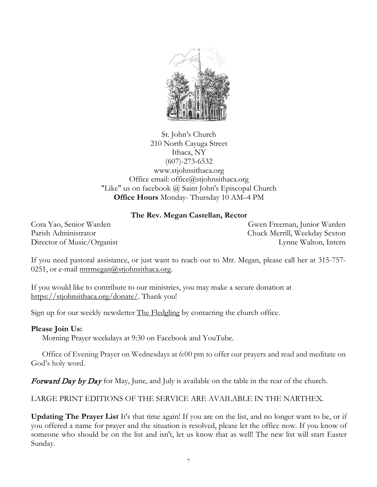

St. John's Church 210 North Cayuga Street Ithaca, NY (607)-273-6532 www.stjohnsithaca.org Office email: office@stjohnsithaca.org "Like" us on facebook @ Saint John's Episcopal Church **Office Hours** Monday- Thursday 10 AM–4 PM

## **The Rev. Megan Castellan, Rector**

Cora Yao, Senior Warden Gwen Freeman, Junior Warden Parish Administrator Chuck Merrill, Weekday Sexton Director of Music/Organist Lynne Walton, Intern

If you need pastoral assistance, or just want to reach out to Mtr. Megan, please call her at 315-757- 0251, or e-mail  $\frac{mtrmegan(a)stjohnsithaca.org.}$ 

If you would like to contribute to our ministries, you may make a secure donation at [https://stjohnsithaca.org/donate/.](https://stjohnsithaca.org/donate/) Thank you!

Sign up for our weekly newsletter [The Fledgling](https://us8.campaign-archive.com/home/?u=ba464e155cfe57854be5971b0&id=62b8db11e4) by contacting the church office.

### **Please Join Us:**

Morning Prayer weekdays at 9:30 on Facebook and YouTube.

Office of Evening Prayer on Wednesdays at 6:00 pm to offer our prayers and read and meditate on God's holy word.

Forward Day by Day for May, June, and July is available on the table in the rear of the church.

LARGE PRINT EDITIONS OF THE SERVICE ARE AVAILABLE IN THE NARTHEX.

**Updating The Prayer List** It's that time again! If you are on the list, and no longer want to be, or if you offered a name for prayer and the situation is resolved, please let the office now. If you know of someone who should be on the list and isn't, let us know that as well! The new list will start Easter Sunday.